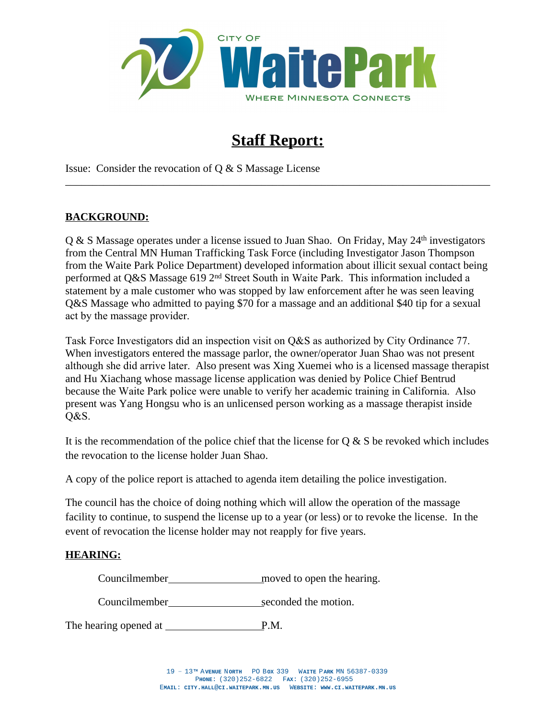

# **Staff Report:**

\_\_\_\_\_\_\_\_\_\_\_\_\_\_\_\_\_\_\_\_\_\_\_\_\_\_\_\_\_\_\_\_\_\_\_\_\_\_\_\_\_\_\_\_\_\_\_\_\_\_\_\_\_\_\_\_\_\_\_\_\_\_\_\_\_\_\_\_\_\_\_\_\_\_\_\_\_\_

Issue: Consider the revocation of Q & S Massage License

## **BACKGROUND:**

Q & S Massage operates under a license issued to Juan Shao. On Friday, May 24<sup>th</sup> investigators from the Central MN Human Trafficking Task Force (including Investigator Jason Thompson from the Waite Park Police Department) developed information about illicit sexual contact being performed at Q&S Massage 619 2nd Street South in Waite Park. This information included a statement by a male customer who was stopped by law enforcement after he was seen leaving Q&S Massage who admitted to paying \$70 for a massage and an additional \$40 tip for a sexual act by the massage provider.

Task Force Investigators did an inspection visit on Q&S as authorized by City Ordinance 77. When investigators entered the massage parlor, the owner/operator Juan Shao was not present although she did arrive later. Also present was Xing Xuemei who is a licensed massage therapist and Hu Xiachang whose massage license application was denied by Police Chief Bentrud because the Waite Park police were unable to verify her academic training in California. Also present was Yang Hongsu who is an unlicensed person working as a massage therapist inside Q&S.

It is the recommendation of the police chief that the license for  $\alpha \& S$  be revoked which includes the revocation to the license holder Juan Shao.

A copy of the police report is attached to agenda item detailing the police investigation.

The council has the choice of doing nothing which will allow the operation of the massage facility to continue, to suspend the license up to a year (or less) or to revoke the license. In the event of revocation the license holder may not reapply for five years.

#### **HEARING:**

Councilmember moved to open the hearing.

Councilmember seconded the motion.

The hearing opened at P.M.